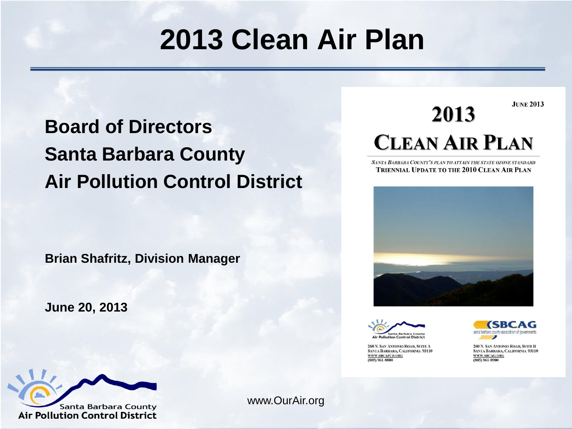#### **2013 Clean Air Plan**

#### **Board of Directors Santa Barbara County Air Pollution Control District**

#### **JUNE 2013** 2013 **CLEAN AIR PLAN**

SANTA BARBARA COUNTY'S PLAN TO ATTAIN THE STATE OZONE STANDARD **TRIENNIAL UPDATE TO THE 2010 CLEAN AIR PLAN** 





260 N. SAN ANTONIO ROAD, SUITE A SANTA BARBARA, CALIFORNIA 93110 WWW.SBCAPCD.ORG (805) 961-8800



260 N. SAN ANTONIO ROAD, SUITE B SANTA BARBARA, CALIFORNIA 93110 WWW.SBCAG.ORG  $(805)$  961-8900

#### **Brian Shafritz, Division Manager**

**June 20, 2013**



www.OurAir.org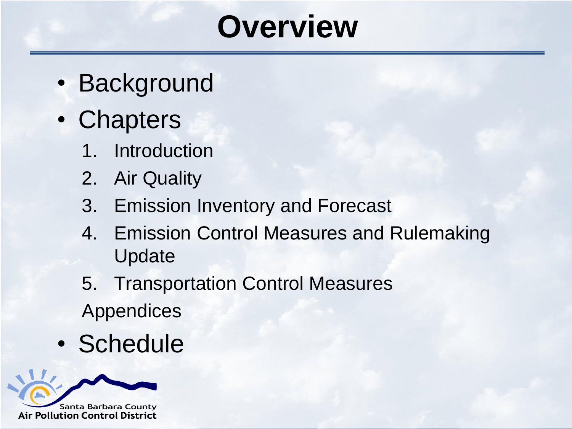## **Overview**

- Background
- Chapters
	- 1. Introduction
	- 2. Air Quality
	- 3. Emission Inventory and Forecast
	- 4. Emission Control Measures and Rulemaking Update
	- 5. Transportation Control Measures Appendices
- Schedule

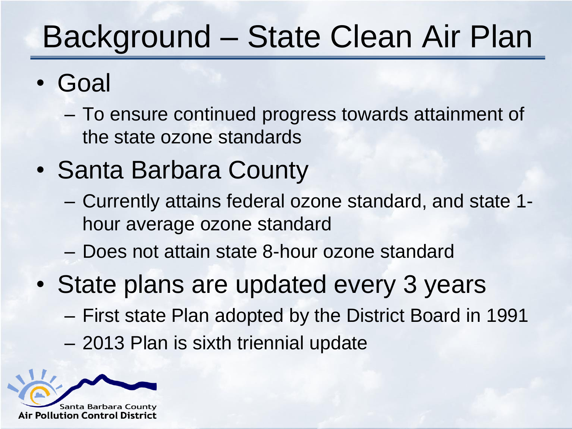# Background – State Clean Air Plan

- Goal
	- To ensure continued progress towards attainment of the state ozone standards
- Santa Barbara County
	- Currently attains federal ozone standard, and state 1 hour average ozone standard
	- Does not attain state 8-hour ozone standard
- State plans are updated every 3 years
	- First state Plan adopted by the District Board in 1991
	- 2013 Plan is sixth triennial update

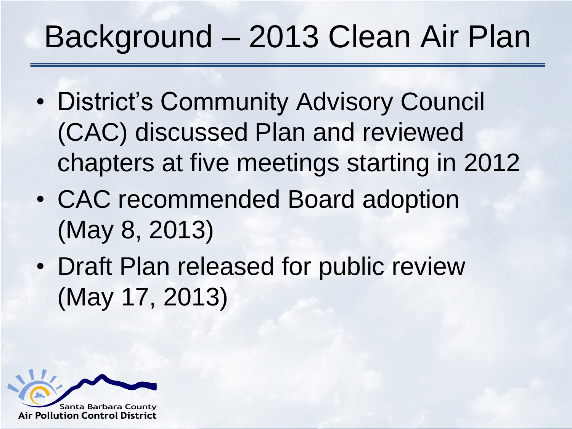# Background – 2013 Clean Air Plan

- District's Community Advisory Council (CAC) discussed Plan and reviewed chapters at five meetings starting in 2012
- CAC recommended Board adoption (May 8, 2013)
- Draft Plan released for public review (May 17, 2013)

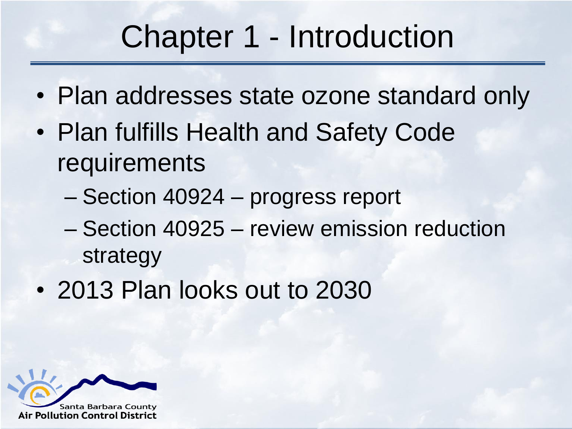# Chapter 1 - Introduction

- Plan addresses state ozone standard only
- Plan fulfills Health and Safety Code requirements
	- Section 40924 progress report
	- Section 40925 review emission reduction strategy
- 2013 Plan looks out to 2030

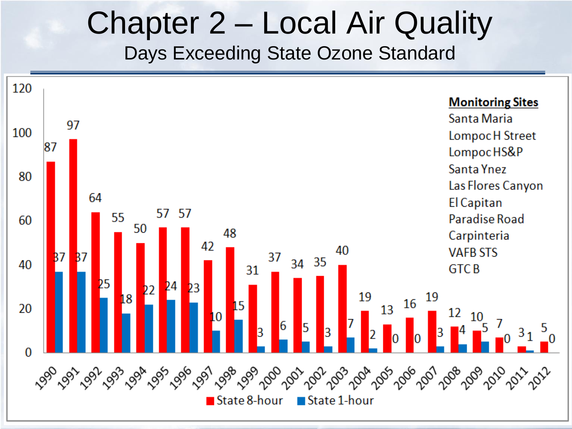#### Chapter 2 – Local Air Quality Days Exceeding State Ozone Standard

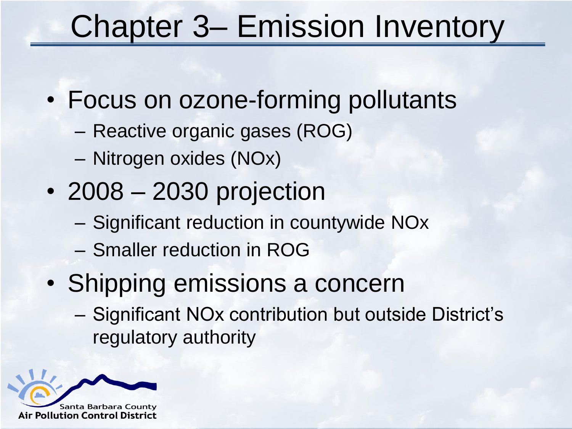# Chapter 3– Emission Inventory

- Focus on ozone-forming pollutants
	- Reactive organic gases (ROG)
	- Nitrogen oxides (NOx)
- 2008 2030 projection
	- Significant reduction in countywide NOx
	- Smaller reduction in ROG
- Shipping emissions a concern
	- Significant NOx contribution but outside District's regulatory authority

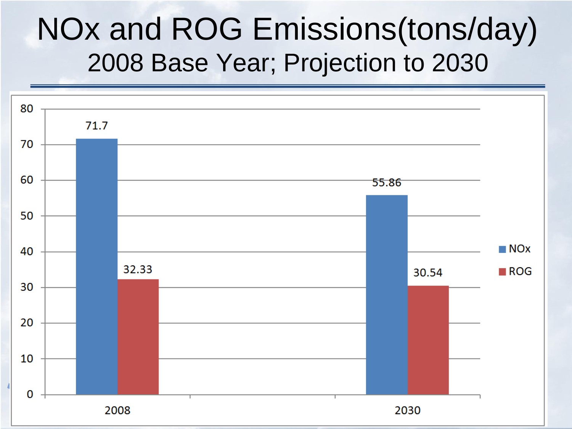#### NOx and ROG Emissions(tons/day) 2008 Base Year; Projection to 2030

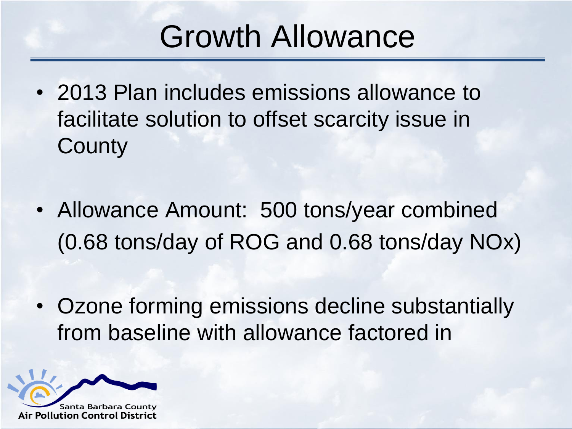## Growth Allowance

- 2013 Plan includes emissions allowance to facilitate solution to offset scarcity issue in **County**
- Allowance Amount: 500 tons/year combined (0.68 tons/day of ROG and 0.68 tons/day NOx)
- Ozone forming emissions decline substantially from baseline with allowance factored in

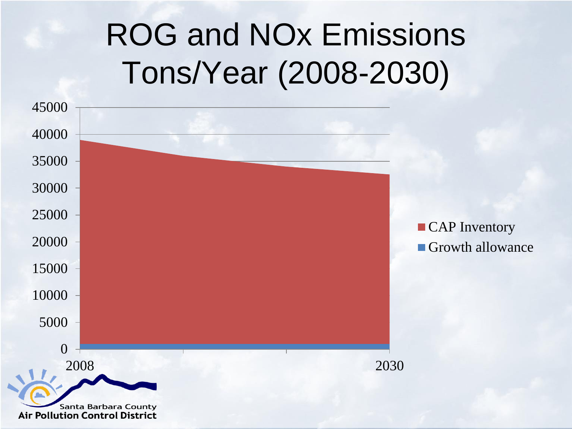# ROG and NOx Emissions Tons/Year (2008-2030)

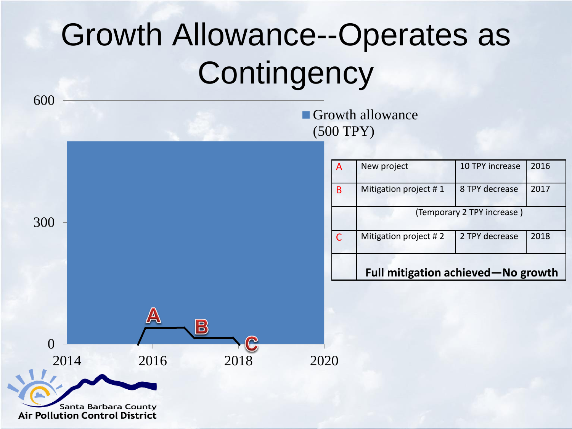# Growth Allowance--Operates as **Contingency**

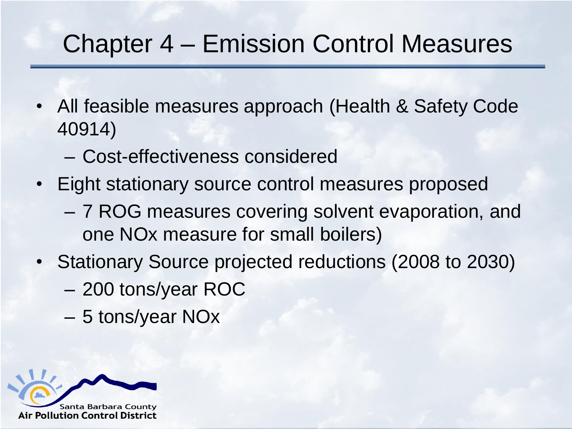#### Chapter 4 – Emission Control Measures

- All feasible measures approach (Health & Safety Code 40914)
	- Cost-effectiveness considered
- Eight stationary source control measures proposed
	- 7 ROG measures covering solvent evaporation, and one NOx measure for small boilers)
- Stationary Source projected reductions (2008 to 2030)
	- 200 tons/year ROC
	- 5 tons/year NOx

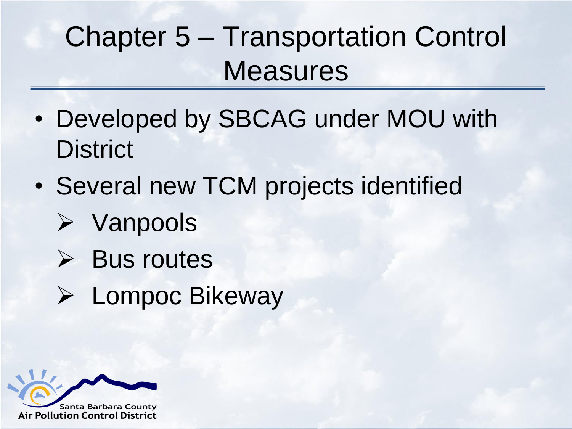### Chapter 5 – Transportation Control **Measures**

- Developed by SBCAG under MOU with **District**
- Several new TCM projects identified
	- $\triangleright$  Vanpools
	- $\triangleright$  Bus routes
	- Lompoc Bikeway